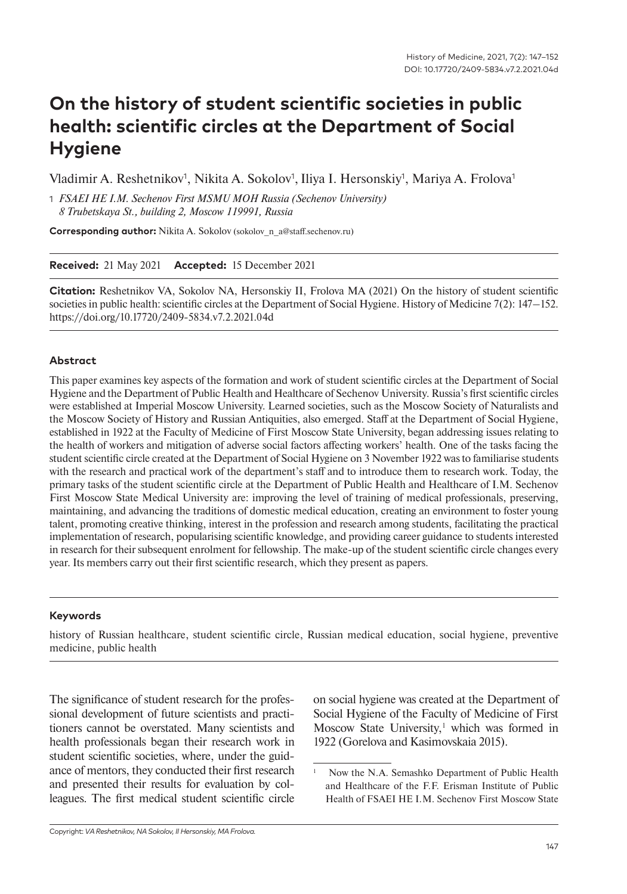# **On the history of student scientific societies in public health: scientific circles at the Department of Social Hygiene**

Vladimir A. Reshetnikov<sup>1</sup>, Nikita A. Sokolov<sup>1</sup>, Iliya I. Hersonskiy<sup>1</sup>, Mariya A. Frolova<sup>1</sup>

1 *FSAEI HE I.M. Sechenov First MSMU MOH Russia (Sechenov University) 8 Trubetskaya St., building 2, Moscow 119991, Russia*

**Corresponding author:** Nikita A. Sokolov (sokolov n a@staff.sechenov.ru)

**Received:** 21 May 2021 **Accepted:** 15 December 2021

**Citation:** Reshetnikov VA, Sokolov NA, Hersonskiy II, Frolova MA (2021) On the history of student scientific societies in public health: scientific circles at the Department of Social Hygiene. History of Medicine 7(2): 147–152. https://doi.org/10.17720/2409-5834.v7.2.2021.04d

### **Abstract**

This paper examines key aspects of the formation and work of student scientific circles at the Department of Social Hygiene and the Department of Public Health and Healthcare of Sechenov University. Russia's first scientific circles were established at Imperial Moscow University. Learned societies, such as the Moscow Society of Naturalists and the Moscow Society of History and Russian Antiquities, also emerged. Staff at the Department of Social Hygiene, established in 1922 at the Faculty of Medicine of First Moscow State University, began addressing issues relating to the health of workers and mitigation of adverse social factors affecting workers' health. One of the tasks facing the student scientific circle created at the Department of Social Hygiene on 3 November 1922 was to familiarise students with the research and practical work of the department's staff and to introduce them to research work. Today, the primary tasks of the student scientific circle at the Department of Public Health and Healthcare of I.M. Sechenov First Moscow State Medical University are: improving the level of training of medical professionals, preserving, maintaining, and advancing the traditions of domestic medical education, creating an environment to foster young talent, promoting creative thinking, interest in the profession and research among students, facilitating the practical implementation of research, popularising scientific knowledge, and providing career guidance to students interested in research for their subsequent enrolment for fellowship. The make-up of the student scientific circle changes every year. Its members carry out their first scientific research, which they present as papers.

#### **Keywords**

history of Russian healthcare, student scientific circle, Russian medical education, social hygiene, preventive medicine, public health

The significance of student research for the professional development of future scientists and practitioners cannot be overstated. Many scientists and health professionals began their research work in student scientific societies, where, under the guidance of mentors, they conducted their first research and presented their results for evaluation by colleagues. The first medical student scientific circle on social hygiene was created at the Department of Social Hygiene of the Faculty of Medicine of First Moscow State University,<sup>1</sup> which was formed in 1922 (Gorelova and Kasimovskaia 2015).

Now the N.A. Semashko Department of Public Health and Healthcare of the F.F. Erisman Institute of Public Health of FSAEI HE I.M. Sechenov First Moscow State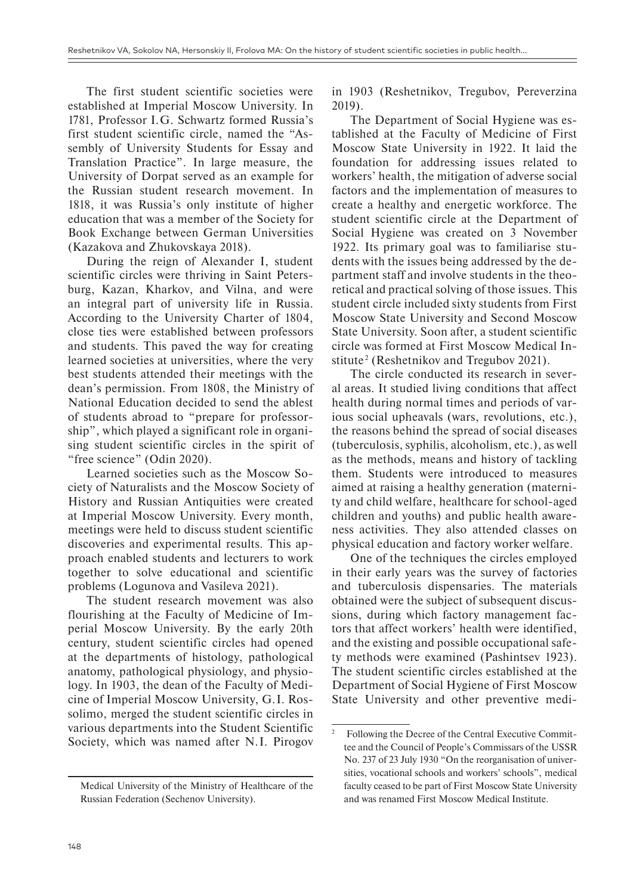The first student scientific societies were established at Imperial Moscow University. In 1781, Professor I.G. Schwartz formed Russia's first student scientific circle, named the "Assembly of University Students for Essay and Translation Practice". In large measure, the University of Dorpat served as an example for the Russian student research movement. In 1818, it was Russia's only institute of higher education that was a member of the Society for Book Exchange between German Universities (Kazakova and Zhukovskaya 2018).

During the reign of Alexander I, student scientific circles were thriving in Saint Petersburg, Kazan, Kharkov, and Vilna, and were an integral part of university life in Russia. According to the University Charter of 1804, close ties were established between professors and students. This paved the way for creating learned societies at universities, where the very best students attended their meetings with the dean's permission. From 1808, the Ministry of National Education decided to send the ablest of students abroad to "prepare for professorship", which played a significant role in organising student scientific circles in the spirit of "free science" (Odin 2020).

Learned societies such as the Moscow Society of Naturalists and the Moscow Society of History and Russian Antiquities were created at Imperial Moscow University. Every month, meetings were held to discuss student scientific discoveries and experimental results. This approach enabled students and lecturers to work together to solve educational and scientific problems (Logunova and Vasileva 2021).

The student research movement was also flourishing at the Faculty of Medicine of Imperial Moscow University. By the early 20th century, student scientific circles had opened at the departments of histology, pathological anatomy, pathological physiology, and physiology. In 1903, the dean of the Faculty of Medicine of Imperial Moscow University, G.I. Rossolimo, merged the student scientific circles in various departments into the Student Scientific Society, which was named after N.I. Pirogov in 1903 (Reshetnikov, Tregubov, Pereverzina 2019).

The Department of Social Hygiene was established at the Faculty of Medicine of First Moscow State University in 1922. It laid the foundation for addressing issues related to workers' health, the mitigation of adverse social factors and the implementation of measures to create a healthy and energetic workforce. The student scientific circle at the Department of Social Hygiene was created on 3 November 1922. Its primary goal was to familiarise students with the issues being addressed by the department staff and involve students in the theoretical and practical solving of those issues. This student circle included sixty students from First Moscow State University and Second Moscow State University. Soon after, a student scientific circle was formed at First Moscow Medical Institute<sup>2</sup> (Reshetnikov and Tregubov 2021).

The circle conducted its research in several areas. It studied living conditions that affect health during normal times and periods of various social upheavals (wars, revolutions, etc.), the reasons behind the spread of social diseases (tuberculosis, syphilis, alcoholism, etc.), as well as the methods, means and history of tackling them. Students were introduced to measures aimed at raising a healthy generation (maternity and child welfare, healthcare for school-aged children and youths) and public health awareness activities. They also attended classes on physical education and factory worker welfare.

One of the techniques the circles employed in their early years was the survey of factories and tuberculosis dispensaries. The materials obtained were the subject of subsequent discussions, during which factory management factors that affect workers' health were identified, and the existing and possible occupational safety methods were examined (Pashintsev 1923). The student scientific circles established at the Department of Social Hygiene of First Moscow State University and other preventive medi-

Medical University of the Ministry of Healthcare of the Russian Federation (Sechenov University).

<sup>2</sup> Following the Decree of the Central Executive Committee and the Council of People's Commissars of the USSR No. 237 of 23 July 1930 "On the reorganisation of universities, vocational schools and workers' schools", medical faculty ceased to be part of First Moscow State University and was renamed First Moscow Medical Institute.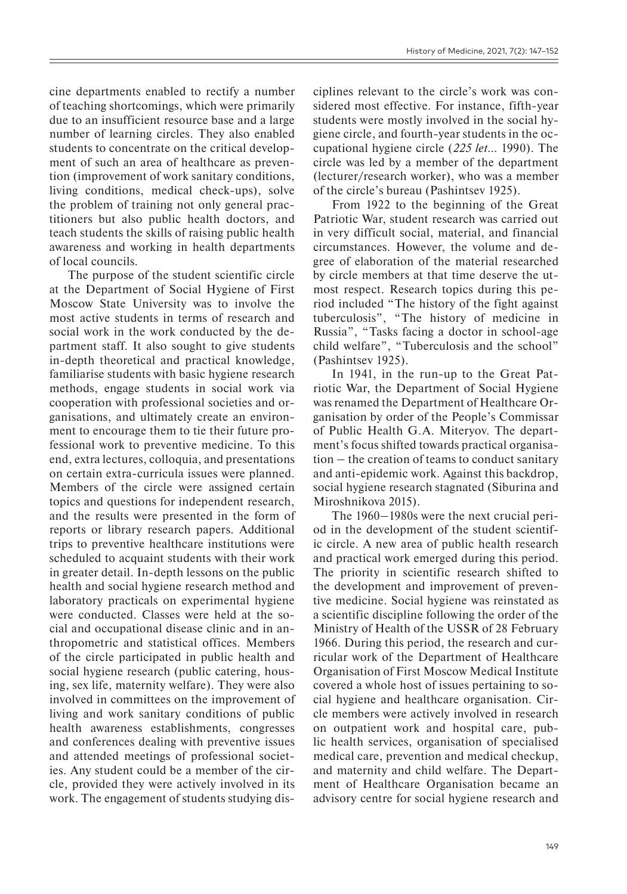cine departments enabled to rectify a number of teaching shortcomings, which were primarily due to an insufficient resource base and a large number of learning circles. They also enabled students to concentrate on the critical development of such an area of healthcare as prevention (improvement of work sanitary conditions, living conditions, medical check-ups), solve the problem of training not only general practitioners but also public health doctors, and teach students the skills of raising public health awareness and working in health departments of local councils.

The purpose of the student scientific circle at the Department of Social Hygiene of First Moscow State University was to involve the most active students in terms of research and social work in the work conducted by the department staff. It also sought to give students in-depth theoretical and practical knowledge, familiarise students with basic hygiene research methods, engage students in social work via cooperation with professional societies and organisations, and ultimately create an environment to encourage them to tie their future professional work to preventive medicine. To this end, extra lectures, colloquia, and presentations on certain extra-curricula issues were planned. Members of the circle were assigned certain topics and questions for independent research, and the results were presented in the form of reports or library research papers. Additional trips to preventive healthcare institutions were scheduled to acquaint students with their work in greater detail. In-depth lessons on the public health and social hygiene research method and laboratory practicals on experimental hygiene were conducted. Classes were held at the social and occupational disease clinic and in anthropometric and statistical offices. Members of the circle participated in public health and social hygiene research (public catering, housing, sex life, maternity welfare). They were also involved in committees on the improvement of living and work sanitary conditions of public health awareness establishments, congresses and conferences dealing with preventive issues and attended meetings of professional societies. Any student could be a member of the circle, provided they were actively involved in its work. The engagement of students studying dis-

ciplines relevant to the circle's work was considered most effective. For instance, fifth-year students were mostly involved in the social hygiene circle, and fourth-year students in the occupational hygiene circle (*225 let*… 1990). The circle was led by a member of the department (lecturer/research worker), who was a member of the circle's bureau (Pashintsev 1925).

From 1922 to the beginning of the Great Patriotic War, student research was carried out in very difficult social, material, and financial circumstances. However, the volume and degree of elaboration of the material researched by circle members at that time deserve the utmost respect. Research topics during this period included "The history of the fight against tuberculosis", "The history of medicine in Russia", "Tasks facing a doctor in school-age child welfare", "Tuberculosis and the school" (Pashintsev 1925).

In 1941, in the run-up to the Great Patriotic War, the Department of Social Hygiene was renamed the Department of Healthcare Organisation by order of the People's Commissar of Public Health G.A. Miteryov. The department's focus shifted towards practical organisa $tion - the creation of teams to conduct snitary$ and anti-epidemic work. Against this backdrop, social hygiene research stagnated (Siburina and Miroshnikova 2015).

The 1960–1980s were the next crucial period in the development of the student scientific circle. A new area of public health research and practical work emerged during this period. The priority in scientific research shifted to the development and improvement of preventive medicine. Social hygiene was reinstated as a scientific discipline following the order of the Ministry of Health of the USSR of 28 February 1966. During this period, the research and curricular work of the Department of Healthcare Organisation of First Moscow Medical Institute covered a whole host of issues pertaining to social hygiene and healthcare organisation. Circle members were actively involved in research on outpatient work and hospital care, public health services, organisation of specialised medical care, prevention and medical checkup, and maternity and child welfare. The Department of Healthcare Organisation became an advisory centre for social hygiene research and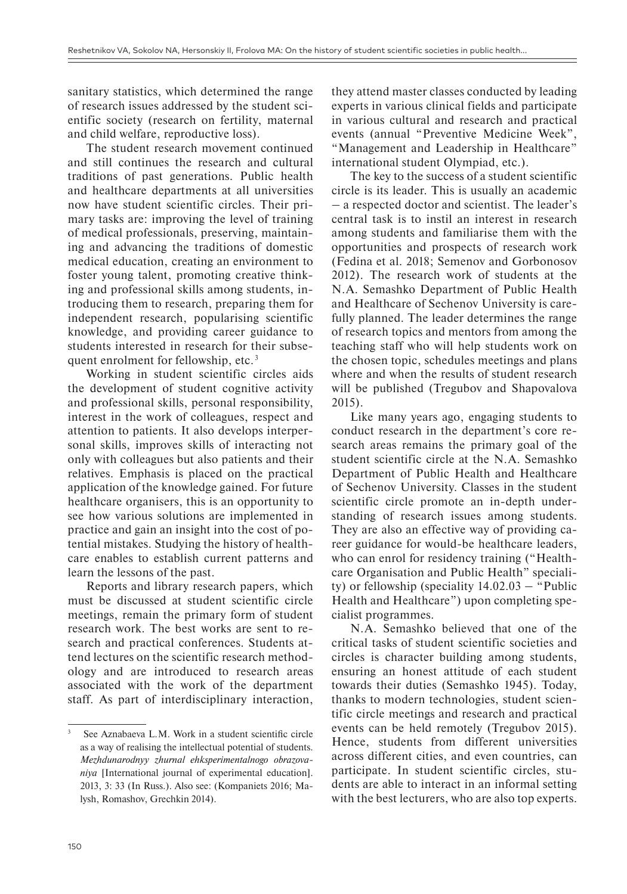sanitary statistics, which determined the range of research issues addressed by the student scientific society (research on fertility, maternal and child welfare, reproductive loss).

The student research movement continued and still continues the research and cultural traditions of past generations. Public health and healthcare departments at all universities now have student scientific circles. Their primary tasks are: improving the level of training of medical professionals, preserving, maintaining and advancing the traditions of domestic medical education, creating an environment to foster young talent, promoting creative thinking and professional skills among students, introducing them to research, preparing them for independent research, popularising scientific knowledge, and providing career guidance to students interested in research for their subsequent enrolment for fellowship, etc.<sup>3</sup>

Working in student scientific circles aids the development of student cognitive activity and professional skills, personal responsibility, interest in the work of colleagues, respect and attention to patients. It also develops interpersonal skills, improves skills of interacting not only with colleagues but also patients and their relatives. Emphasis is placed on the practical application of the knowledge gained. For future healthcare organisers, this is an opportunity to see how various solutions are implemented in practice and gain an insight into the cost of potential mistakes. Studying the history of healthcare enables to establish current patterns and learn the lessons of the past.

Reports and library research papers, which must be discussed at student scientific circle meetings, remain the primary form of student research work. The best works are sent to research and practical conferences. Students attend lectures on the scientific research methodology and are introduced to research areas associated with the work of the department staff. As part of interdisciplinary interaction, they attend master classes conducted by leading experts in various clinical fields and participate in various cultural and research and practical events (annual "Preventive Medicine Week", "Management and Leadership in Healthcare" international student Olympiad, etc.).

The key to the success of a student scientific circle is its leader. This is usually an academic ‒ a respected doctor and scientist. The leader's central task is to instil an interest in research among students and familiarise them with the opportunities and prospects of research work (Fedina et al. 2018; Semenov and Gorbonosov 2012). The research work of students at the N.A. Semashko Department of Public Health and Healthcare of Sechenov University is carefully planned. The leader determines the range of research topics and mentors from among the teaching staff who will help students work on the chosen topic, schedules meetings and plans where and when the results of student research will be published (Tregubov and Shapovalova 2015).

Like many years ago, engaging students to conduct research in the department's core research areas remains the primary goal of the student scientific circle at the N.A. Semashko Department of Public Health and Healthcare of Sechenov University. Classes in the student scientific circle promote an in-depth understanding of research issues among students. They are also an effective way of providing career guidance for would-be healthcare leaders, who can enrol for residency training ("Healthcare Organisation and Public Health" speciality) or fellowship (speciality  $14.02.03 -$  "Public Health and Healthcare") upon completing specialist programmes.

N.A. Semashko believed that one of the critical tasks of student scientific societies and circles is character building among students, ensuring an honest attitude of each student towards their duties (Semashko 1945). Today, thanks to modern technologies, student scientific circle meetings and research and practical events can be held remotely (Tregubov 2015). Hence, students from different universities across different cities, and even countries, can participate. In student scientific circles, students are able to interact in an informal setting with the best lecturers, who are also top experts.

See Aznabaeva L.M. Work in a student scientific circle as a way of realising the intellectual potential of students. *Mezhdunarodnyy zhurnal ehksperimentalnogo obrazovaniya* [International journal of experimental education]. 2013, 3: 33 (In Russ.). Also see: (Kompaniets 2016; Malysh, Romashov, Grechkin 2014).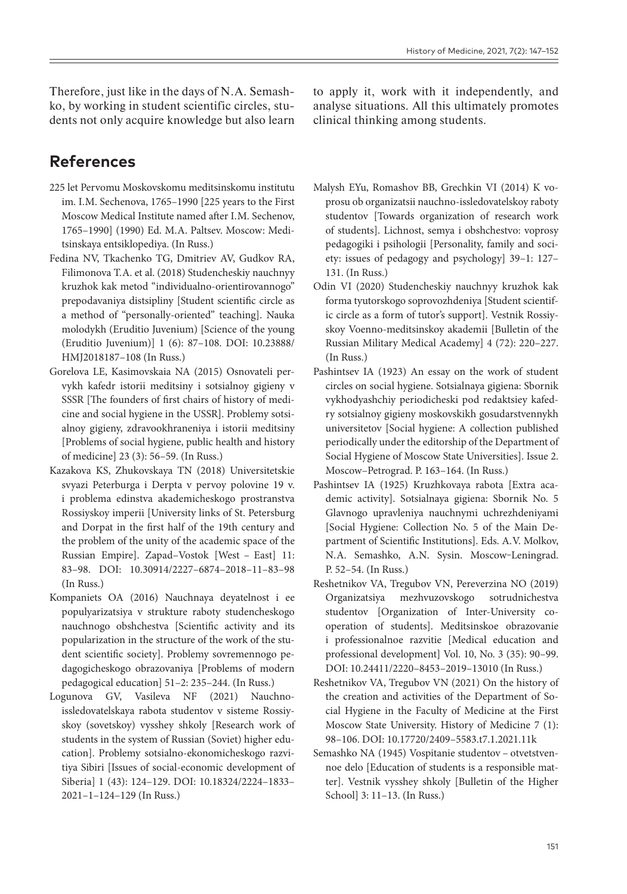Therefore, just like in the days of N.A. Semashko, by working in student scientific circles, students not only acquire knowledge but also learn

### **References**

- 225 let Pervomu Moskovskomu meditsinskomu institutu im. I.M. Sechenova, 1765–1990 [225 years to the First Moscow Medical Institute named after I.M. Sechenov, 1765–1990] (1990) Ed. M.A. Paltsev. Moscow: Meditsinskaya entsiklopediya. (In Russ.)
- Fedina NV, Tkachenko TG, Dmitriev AV, Gudkov RA, Filimonova T.A. et al. (2018) Studencheskiy nauchnyy kruzhok kak metod "individualno-orientirovannogo" prepodavaniya distsipliny [Student scientific circle as a method of "personally-oriented" teaching]. Nauka molodykh (Eruditio Juvenium) [Science of the young (Eruditio Juvenium)] 1 (6): 87–108. DOI: 10.23888/ HMJ2018187–108 (In Russ.)
- Gorelova LE, Kasimovskaia NA (2015) Osnovateli pervykh kafedr istorii meditsiny i sotsialnoy gigieny v SSSR [The founders of first chairs of history of medicine and social hygiene in the USSR]. Problemy sotsialnoy gigieny, zdravookhraneniya i istorii meditsiny [Problems of social hygiene, public health and history of medicine] 23 (3): 56–59. (In Russ.)
- Kazakova KS, Zhukovskaya TN (2018) Universitetskie svyazi Peterburga i Derpta v pervoy polovine 19 v. i problema edinstva akademicheskogo prostranstva Rossiyskoy imperii [University links of St. Petersburg and Dorpat in the first half of the 19th century and the problem of the unity of the academic space of the Russian Empire]. Zapad–Vostok [West – East] 11: 83–98. DOI: 10.30914/2227–6874–2018–11–83–98 (In Russ.)
- Kompaniets OA (2016) Nauchnaya deyatelnost i ee populyarizatsiya v strukture raboty studencheskogo nauchnogo obshchestva [Scientific activity and its popularization in the structure of the work of the student scientific society]. Problemy sovremennogo pedagogicheskogo obrazovaniya [Problems of modern pedagogical education] 51–2: 235–244. (In Russ.)
- Logunova GV, Vasileva NF (2021) Nauchno-issledovatelskaya rabota studentov v sisteme Rossiyskoy (sovetskoy) vysshey shkoly [Research work of students in the system of Russian (Soviet) higher education]. Problemy sotsialno-ekonomicheskogo razvitiya Sibiri [Issues of social-economic development of Siberia] 1 (43): 124–129. DOI: 10.18324/2224–1833– 2021–1–124–129 (In Russ.)

to apply it, work with it independently, and analyse situations. All this ultimately promotes clinical thinking among students.

- Malysh EYu, Romashov BB, Grechkin VI (2014) K voprosu ob organizatsii nauchno-issledovatelskoy raboty studentov [Towards organization of research work of students]. Lichnost, semya i obshchestvo: voprosy pedagogiki i psihologii [Personality, family and society: issues of pedagogy and psychology] 39–1: 127– 131. (In Russ.)
- Odin VI (2020) Studencheskiy nauchnyy kruzhok kak forma tyutorskogo soprovozhdeniya [Student scientific circle as a form of tutor's support]. Vestnik Rossiyskoy Voenno-meditsinskoy akademii [Bulletin of the Russian Military Medical Academy] 4 (72): 220–227. (In Russ.)
- Pashintsev IA (1923) An essay on the work of student circles on social hygiene. Sotsialnaya gigiena: Sbornik vykhodyashchiy periodicheski pod redaktsiey kafedry sotsialnoy gigieny moskovskikh gosudarstvennykh universitetov [Social hygiene: A collection published periodically under the editorship of the Department of Social Hygiene of Moscow State Universities]. Issue 2. Moscow–Petrograd. P. 163–164. (In Russ.)
- Pashintsev IA (1925) Kruzhkovaya rabota [Extra academic activity]. Sotsialnaya gigiena: Sbornik No. 5 Glavnogo upravleniya nauchnymi uchrezhdeniyami [Social Hygiene: Collection No. 5 of the Main Department of Scientific Institutions]. Eds. A.V. Molkov, N.A. Semashko, A.N. Sysin. Moscow-Leningrad. P. 52–54. (In Russ.)
- Reshetnikov VA, Tregubov VN, Pereverzina NO (2019) Organizatsiya mezhvuzovskogo sotrudnichestva studentov [Organization of Inter-University cooperation of students]. Meditsinskoe obrazovanie i professionalnoe razvitie [Medical education and professional development] Vol. 10, No. 3 (35): 90–99. DOI: 10.24411/2220–8453–2019–13010 (In Russ.)
- Reshetnikov VA, Tregubov VN (2021) On the history of the creation and activities of the Department of Social Hygiene in the Faculty of Medicine at the First Moscow State University. History of Medicine 7 (1): 98–106. DOI: 10.17720/2409–5583.t7.1.2021.11k
- Semashko NA (1945) Vospitanie studentov otvetstvennoe delo [Education of students is a responsible matter]. Vestnik vysshey shkoly [Bulletin of the Higher School] 3: 11–13. (In Russ.)